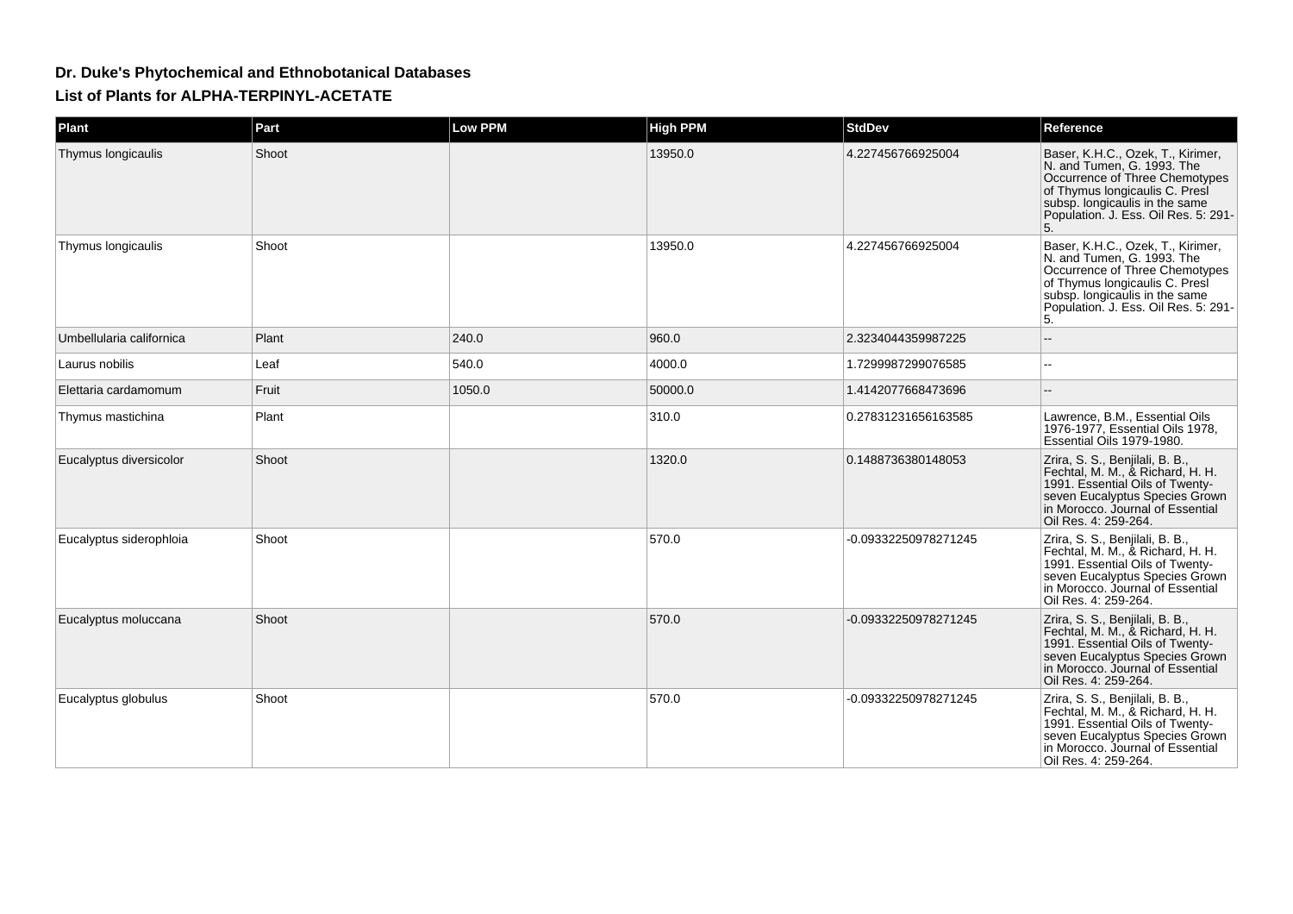## **Dr. Duke's Phytochemical and Ethnobotanical DatabasesList of Plants for ALPHA-TERPINYL-ACETATE**

| Plant                    | Part  | <b>Low PPM</b> | <b>High PPM</b> | <b>StdDev</b>        | Reference                                                                                                                                                                                                           |
|--------------------------|-------|----------------|-----------------|----------------------|---------------------------------------------------------------------------------------------------------------------------------------------------------------------------------------------------------------------|
| Thymus longicaulis       | Shoot |                | 13950.0         | 4.227456766925004    | Baser, K.H.C., Ozek, T., Kirimer,<br>N. and Tumen, G. 1993. The<br>Occurrence of Three Chemotypes<br>of Thymus longicaulis C. Presi<br>subsp. longicaulis in the same<br>Population. J. Ess. Oil Res. 5: 291-<br>5. |
| Thymus longicaulis       | Shoot |                | 13950.0         | 4.227456766925004    | Baser, K.H.C., Ozek, T., Kirimer,<br>N. and Tumen, G. 1993. The<br>Occurrence of Three Chemotypes<br>of Thymus longicaulis C. Presi<br>subsp. longicaulis in the same<br>Population. J. Ess. Oil Res. 5: 291-<br>5. |
| Umbellularia californica | Plant | 240.0          | 960.0           | 2.3234044359987225   |                                                                                                                                                                                                                     |
| Laurus nobilis           | Leaf  | 540.0          | 4000.0          | 1.7299987299076585   |                                                                                                                                                                                                                     |
| Elettaria cardamomum     | Fruit | 1050.0         | 50000.0         | 1.4142077668473696   |                                                                                                                                                                                                                     |
| Thymus mastichina        | Plant |                | 310.0           | 0.27831231656163585  | Lawrence, B.M., Essential Oils<br>1976-1977, Essential Oils 1978,<br>Essential Oils 1979-1980.                                                                                                                      |
| Eucalyptus diversicolor  | Shoot |                | 1320.0          | 0.1488736380148053   | Zrira, S. S., Benjilali, B. B.,<br>Fechtal, M. M., & Richard, H. H.<br>1991. Essential Oils of Twenty-<br>seven Eucalyptus Species Grown<br>in Morocco. Journal of Essential<br>Oil Res. 4: 259-264.                |
| Eucalyptus siderophloia  | Shoot |                | 570.0           | -0.09332250978271245 | Zrira, S. S., Benjilali, B. B.,<br>Fechtal, M. M., & Richard, H. H.<br>1991. Essential Oils of Twenty-<br>seven Eucalyptus Species Grown<br>in Morocco. Journal of Essential<br>Oil Res. 4: 259-264.                |
| Eucalyptus moluccana     | Shoot |                | 570.0           | -0.09332250978271245 | Zrira, S. S., Benjilali, B. B.,<br>Fechtal, M. M., & Richard, H. H.<br>1991. Essential Oils of Twenty-<br>seven Eucalyptus Species Grown<br>in Morocco. Journal of Essential<br>Oil Res. 4: 259-264.                |
| Eucalyptus globulus      | Shoot |                | 570.0           | -0.09332250978271245 | Zrira, S. S., Benjilali, B. B.,<br>Fechtal, M. M., & Richard, H. H.<br>1991. Essential Oils of Twenty-<br>seven Eucalyptus Species Grown<br>in Morocco. Journal of Essential<br>Oil Res. 4: 259-264.                |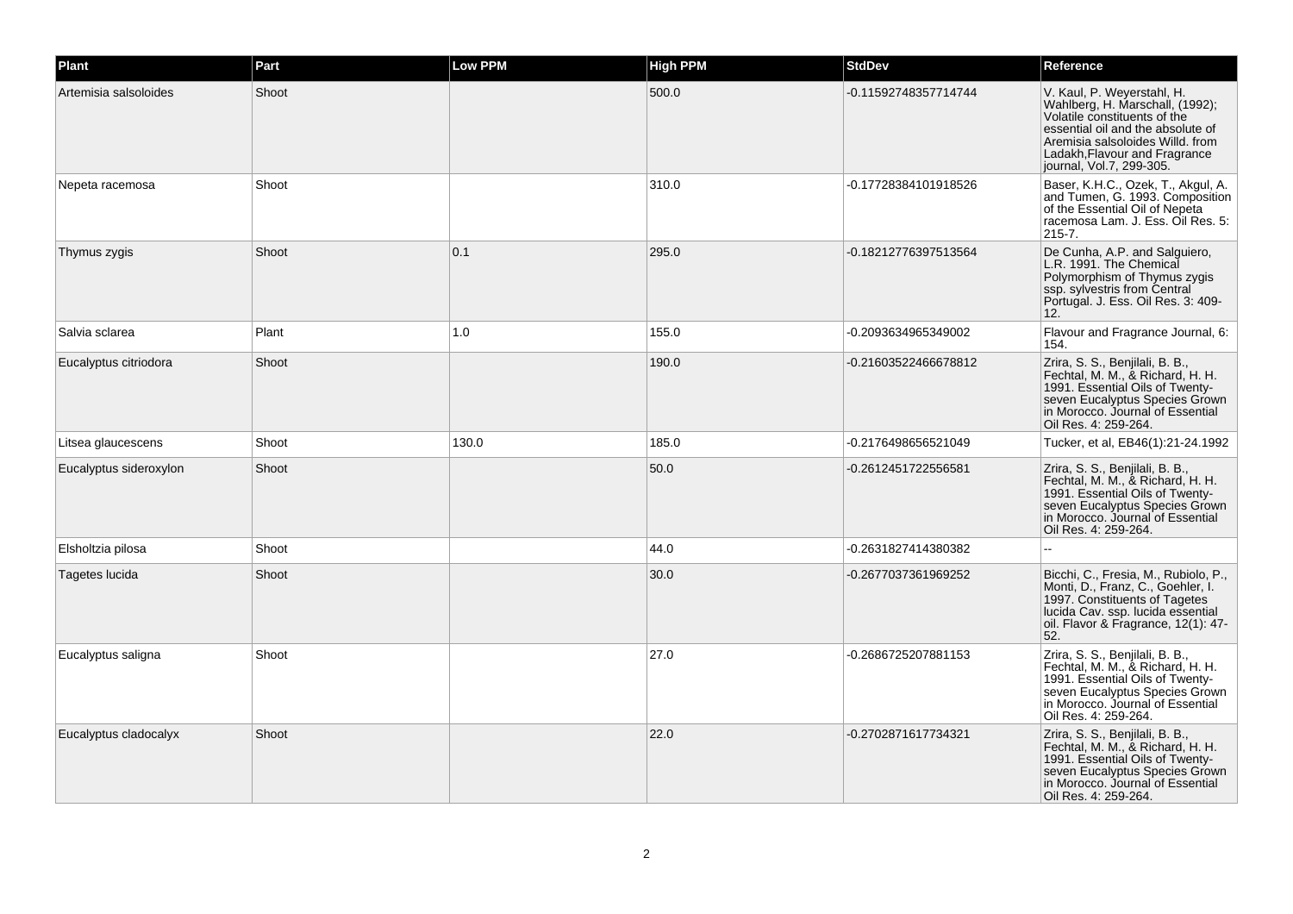| Plant                  | Part  | <b>Low PPM</b> | <b>High PPM</b> | <b>StdDev</b>        | Reference                                                                                                                                                                                                                           |
|------------------------|-------|----------------|-----------------|----------------------|-------------------------------------------------------------------------------------------------------------------------------------------------------------------------------------------------------------------------------------|
| Artemisia salsoloides  | Shoot |                | 500.0           | -0.11592748357714744 | V. Kaul, P. Weyerstahl, H.<br>Wahlberg, H. Marschall, (1992);<br>Volatile constituents of the<br>essential oil and the absolute of<br>Aremisia salsoloides Willd, from<br>Ladakh, Flavour and Fragrance<br>journal, Vol.7, 299-305. |
| Nepeta racemosa        | Shoot |                | 310.0           | -0.17728384101918526 | Baser, K.H.C., Ozek, T., Akgul, A.<br>and Tumen, G. 1993. Composition<br>of the Essential Oil of Nepeta<br>racemosa Lam. J. Ess. Oil Res. 5:<br>$215 - 7.$                                                                          |
| Thymus zygis           | Shoot | 0.1            | 295.0           | -0.18212776397513564 | De Cunha, A.P. and Salguiero,<br>L.R. 1991. The Chemical<br>Polymorphism of Thymus zygis<br>ssp. sylvestris from Central<br>Portugal. J. Ess. Oil Res. 3: 409-<br>12.                                                               |
| Salvia sclarea         | Plant | 1.0            | 155.0           | -0.2093634965349002  | Flavour and Fragrance Journal, 6:<br>154.                                                                                                                                                                                           |
| Eucalyptus citriodora  | Shoot |                | 190.0           | -0.21603522466678812 | Zrira, S. S., Benjilali, B. B.,<br>Fechtal, M. M., & Richard, H. H.<br>1991. Essential Oils of Twenty-<br>seven Eucalyptus Species Grown<br>in Morocco. Journal of Essential<br>Oil Res. 4: 259-264.                                |
| Litsea glaucescens     | Shoot | 130.0          | 185.0           | -0.2176498656521049  | Tucker, et al, EB46(1):21-24.1992                                                                                                                                                                                                   |
| Eucalyptus sideroxylon | Shoot |                | 50.0            | -0.2612451722556581  | Zrira, S. S., Benjilali, B. B.,<br>Fechtal, M. M., & Richard, H. H.<br>1991. Essential Oils of Twenty-<br>seven Eucalyptus Species Grown<br>in Morocco. Journal of Essential<br>Oil Res. 4: 259-264.                                |
| Elsholtzia pilosa      | Shoot |                | 44.0            | -0.2631827414380382  |                                                                                                                                                                                                                                     |
| Tagetes lucida         | Shoot |                | 30.0            | -0.2677037361969252  | Bicchi, C., Fresia, M., Rubiolo, P.,<br>Monti, D., Franz, C., Goehler, I.<br>1997. Constituents of Tagetes<br>lucida Cav. ssp. lucida essential<br>oil. Flavor & Fragrance, 12(1): 47-<br>52.                                       |
| Eucalyptus saligna     | Shoot |                | 27.0            | -0.2686725207881153  | Zrira, S. S., Benjilali, B. B.,<br>Fechtal, M. M., & Richard, H. H.<br>1991. Essential Oils of Twenty-<br>seven Eucalyptus Species Grown<br>in Morocco. Journal of Essential<br>Oil Res. 4: 259-264.                                |
| Eucalyptus cladocalyx  | Shoot |                | 22.0            | -0.2702871617734321  | Zrira, S. S., Benjilali, B. B.,<br>Fechtal, M. M., & Richard, H. H.<br>1991. Essential Oils of Twenty-<br>seven Eucalyptus Species Grown<br>in Morocco. Journal of Essential<br>Oil Res. 4: 259-264.                                |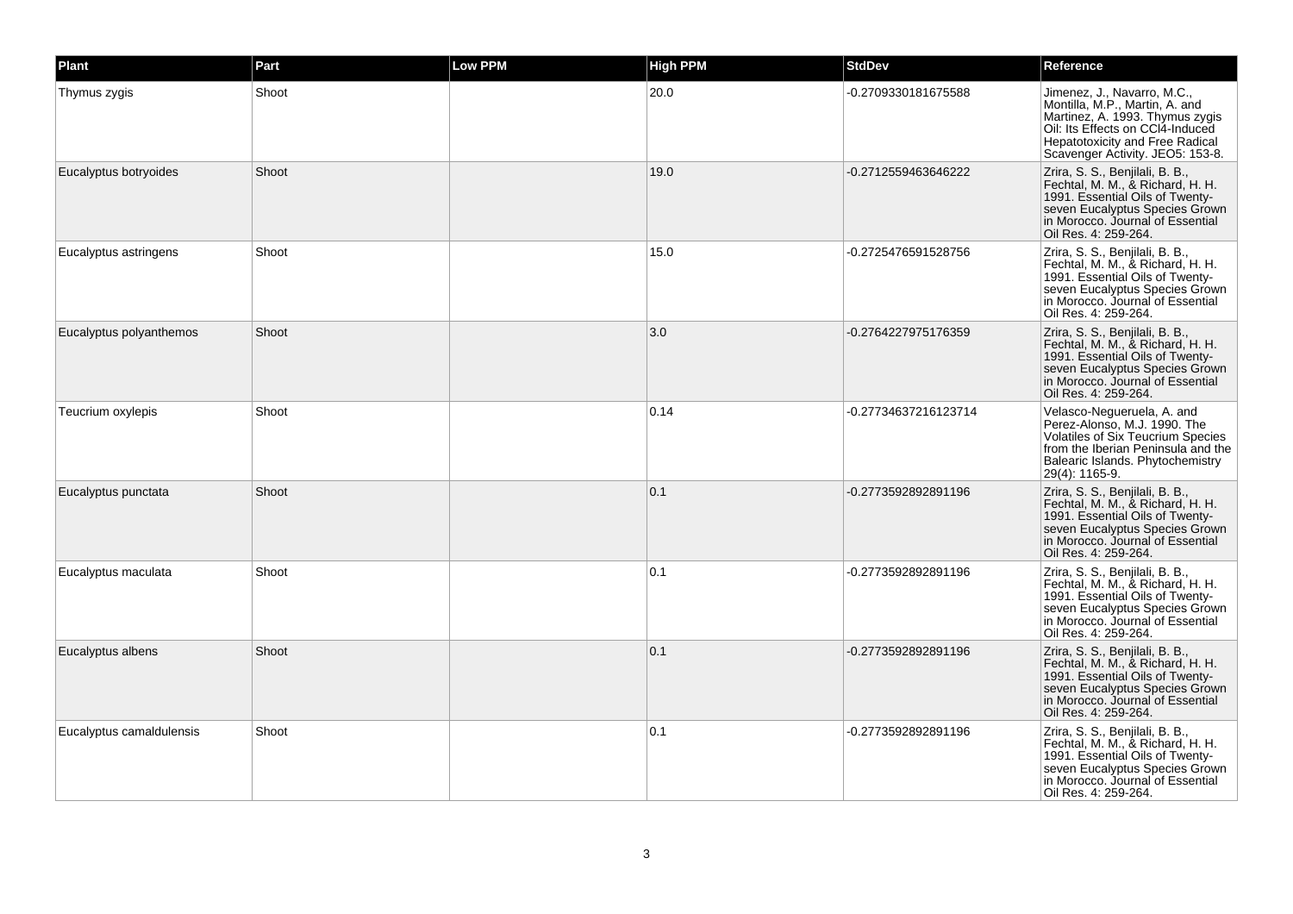| Plant                    | Part  | <b>Low PPM</b> | <b>High PPM</b> | <b>StdDev</b>        | Reference                                                                                                                                                                                                          |
|--------------------------|-------|----------------|-----------------|----------------------|--------------------------------------------------------------------------------------------------------------------------------------------------------------------------------------------------------------------|
| Thymus zygis             | Shoot |                | 20.0            | -0.2709330181675588  | Jimenez, J., Navarro, M.C.,<br>Montilla, M.P., Martin, A. and<br>Martinez, A. 1993. Thymus zygis<br>Oil: Its Effects on CCI4-Induced<br><b>Hepatotoxicity and Free Radical</b><br>Scavenger Activity. JEO5: 153-8. |
| Eucalyptus botryoides    | Shoot |                | 19.0            | -0.2712559463646222  | Zrira, S. S., Benjilali, B. B.,<br>Fechtal, M. M., & Richard, H. H.<br>1991. Essential Oils of Twenty-<br>seven Eucalyptus Species Grown<br>in Morocco. Journal of Essential<br>Oil Res. 4: 259-264.               |
| Eucalyptus astringens    | Shoot |                | 15.0            | -0.2725476591528756  | Zrira, S. S., Benjilali, B. B.,<br>Fechtal, M. M., & Richard, H. H.<br>1991. Essential Oils of Twenty-<br>seven Eucalyptus Species Grown<br>in Morocco. Journal of Essential<br>Oil Res. 4: 259-264.               |
| Eucalyptus polyanthemos  | Shoot |                | 3.0             | -0.2764227975176359  | Zrira, S. S., Benjilali, B. B.,<br>Fechtal, M. M., & Richard, H. H.<br>1991. Essential Oils of Twenty-<br>seven Eucalyptus Species Grown<br>in Morocco. Journal of Essential<br>Oil Res. 4: 259-264.               |
| Teucrium oxylepis        | Shoot |                | 0.14            | -0.27734637216123714 | Velasco-Negueruela, A. and<br>Perez-Alonso, M.J. 1990. The<br>Volatiles of Six Teucrium Species<br>from the Iberian Peninsula and the<br>Balearic Islands. Phytochemistry<br>29(4): 1165-9.                        |
| Eucalyptus punctata      | Shoot |                | 0.1             | -0.2773592892891196  | Zrira, S. S., Benjilali, B. B.,<br>Fechtal, M. M., & Richard, H. H.<br>1991. Essential Oils of Twenty-<br>seven Eucalyptus Species Grown<br>in Morocco. Journal of Essential<br>Oil Res. 4: 259-264.               |
| Eucalyptus maculata      | Shoot |                | 0.1             | -0.2773592892891196  | Zrira, S. S., Benjilali, B. B.,<br>Fechtal, M. M., & Richard, H. H.<br>1991. Essential Oils of Twenty-<br>seven Eucalyptus Species Grown<br>in Morocco. Journal of Essential<br>Oil Res. 4: 259-264.               |
| Eucalyptus albens        | Shoot |                | 0.1             | -0.2773592892891196  | Zrira, S. S., Benjilali, B. B.,<br>Fechtal, M. M., & Richard, H. H.<br>1991. Essential Oils of Twenty-<br>seven Eucalyptus Species Grown<br>in Morocco. Journal of Essential<br>Oil Res. 4: 259-264.               |
| Eucalyptus camaldulensis | Shoot |                | 0.1             | -0.2773592892891196  | Zrira, S. S., Benjilali, B. B.,<br>Fechtal, M. M., & Richard, H. H.<br>1991. Essential Oils of Twenty-<br>seven Eucalyptus Species Grown<br>in Morocco. Journal of Essential<br>Oil Res. 4: 259-264.               |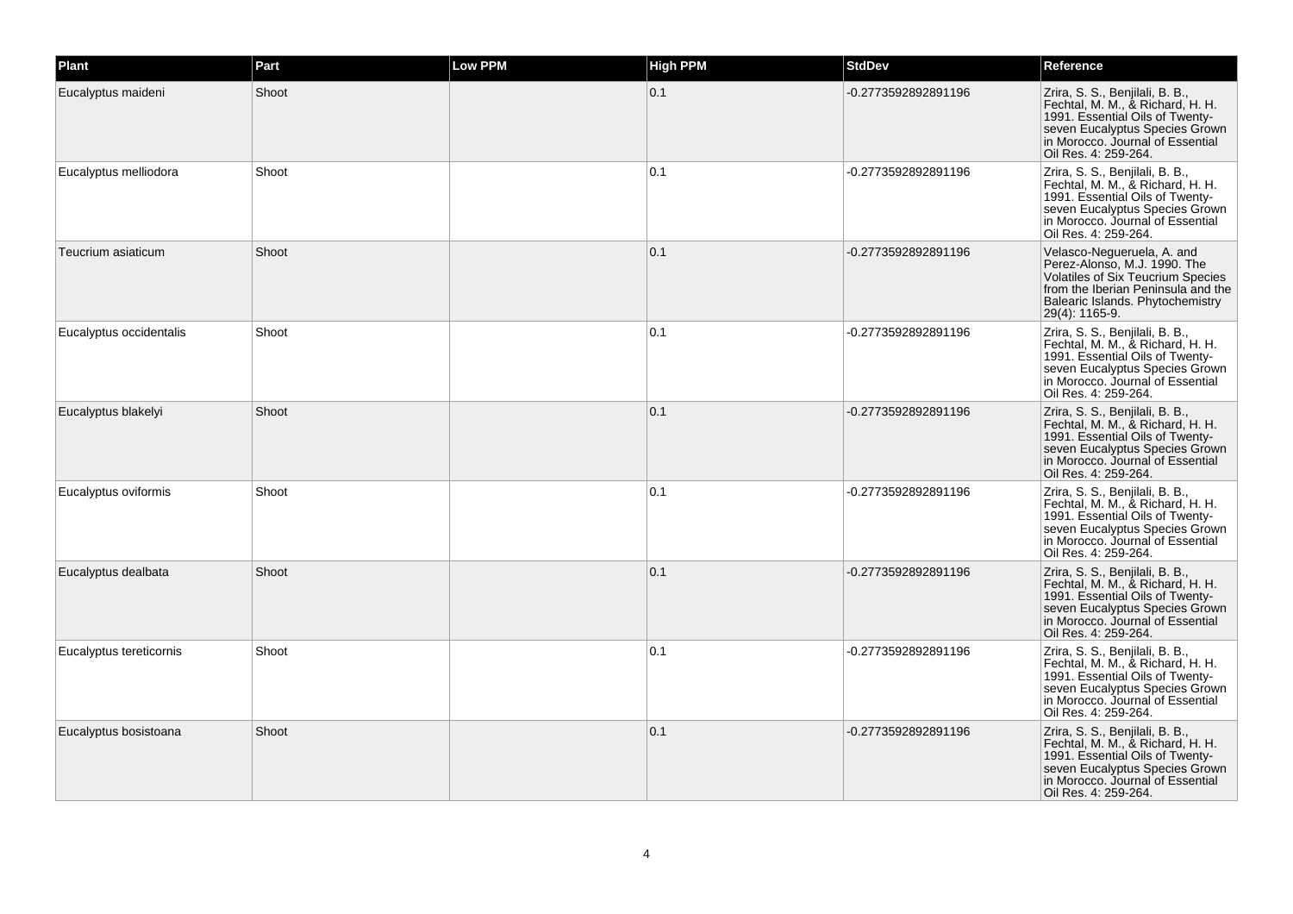| Plant                   | Part  | <b>Low PPM</b> | <b>High PPM</b> | <b>StdDev</b>       | Reference                                                                                                                                                                                            |
|-------------------------|-------|----------------|-----------------|---------------------|------------------------------------------------------------------------------------------------------------------------------------------------------------------------------------------------------|
| Eucalyptus maideni      | Shoot |                | 0.1             | -0.2773592892891196 | Zrira, S. S., Benjilali, B. B.,<br>Fechtal, M. M., & Richard, H. H.<br>1991. Essential Oils of Twenty-<br>seven Eucalyptus Species Grown<br>in Morocco. Journal of Essential<br>Oil Res. 4: 259-264. |
| Eucalyptus melliodora   | Shoot |                | 0.1             | -0.2773592892891196 | Zrira, S. S., Benjilali, B. B.,<br>Fechtal, M. M., & Richard, H. H.<br>1991. Essential Oils of Twenty-<br>seven Eucalyptus Species Grown<br>in Morocco. Journal of Essential<br>Oil Res. 4: 259-264. |
| Teucrium asiaticum      | Shoot |                | 0.1             | -0.2773592892891196 | Velasco-Negueruela, A. and<br>Perez-Alonso, M.J. 1990. The<br>Volatiles of Six Teucrium Species<br>from the Iberian Peninsula and the<br>Balearic Islands. Phytochemistry<br>29(4): 1165-9.          |
| Eucalyptus occidentalis | Shoot |                | 0.1             | -0.2773592892891196 | Zrira, S. S., Benjilali, B. B.,<br>Fechtal, M. M., & Richard, H. H.<br>1991. Essential Oils of Twenty-<br>seven Eucalyptus Species Grown<br>in Morocco. Journal of Essential<br>Oil Res. 4: 259-264. |
| Eucalyptus blakelyi     | Shoot |                | 0.1             | -0.2773592892891196 | Zrira, S. S., Benjilali, B. B.,<br>Fechtal, M. M., & Richard, H. H.<br>1991. Essential Oils of Twenty-<br>seven Eucalyptus Species Grown<br>in Morocco. Journal of Essential<br>Oil Res. 4: 259-264. |
| Eucalyptus oviformis    | Shoot |                | 0.1             | -0.2773592892891196 | Zrira, S. S., Benjilali, B. B.,<br>Fechtal, M. M., & Richard, H. H.<br>1991. Essential Oils of Twenty-<br>seven Eucalyptus Species Grown<br>in Morocco. Journal of Essential<br>Oil Res. 4: 259-264. |
| Eucalyptus dealbata     | Shoot |                | 0.1             | -0.2773592892891196 | Zrira, S. S., Benjilali, B. B.,<br>Fechtal, M. M., & Richard, H. H.<br>1991. Essential Oils of Twenty-<br>seven Eucalyptus Species Grown<br>in Morocco. Journal of Essential<br>Oil Res. 4: 259-264. |
| Eucalyptus tereticornis | Shoot |                | 0.1             | -0.2773592892891196 | Zrira, S. S., Benjilali, B. B.,<br>Fechtal, M. M., & Richard, H. H.<br>1991. Essential Oils of Twenty-<br>seven Eucalyptus Species Grown<br>in Morocco. Journal of Essential<br>Oil Res. 4: 259-264. |
| Eucalyptus bosistoana   | Shoot |                | 0.1             | -0.2773592892891196 | Zrira, S. S., Benjilali, B. B.,<br>Fechtal, M. M., & Richard, H. H.<br>1991. Essential Oils of Twenty-<br>seven Eucalyptus Species Grown<br>in Morocco. Journal of Essential<br>Oil Res. 4: 259-264. |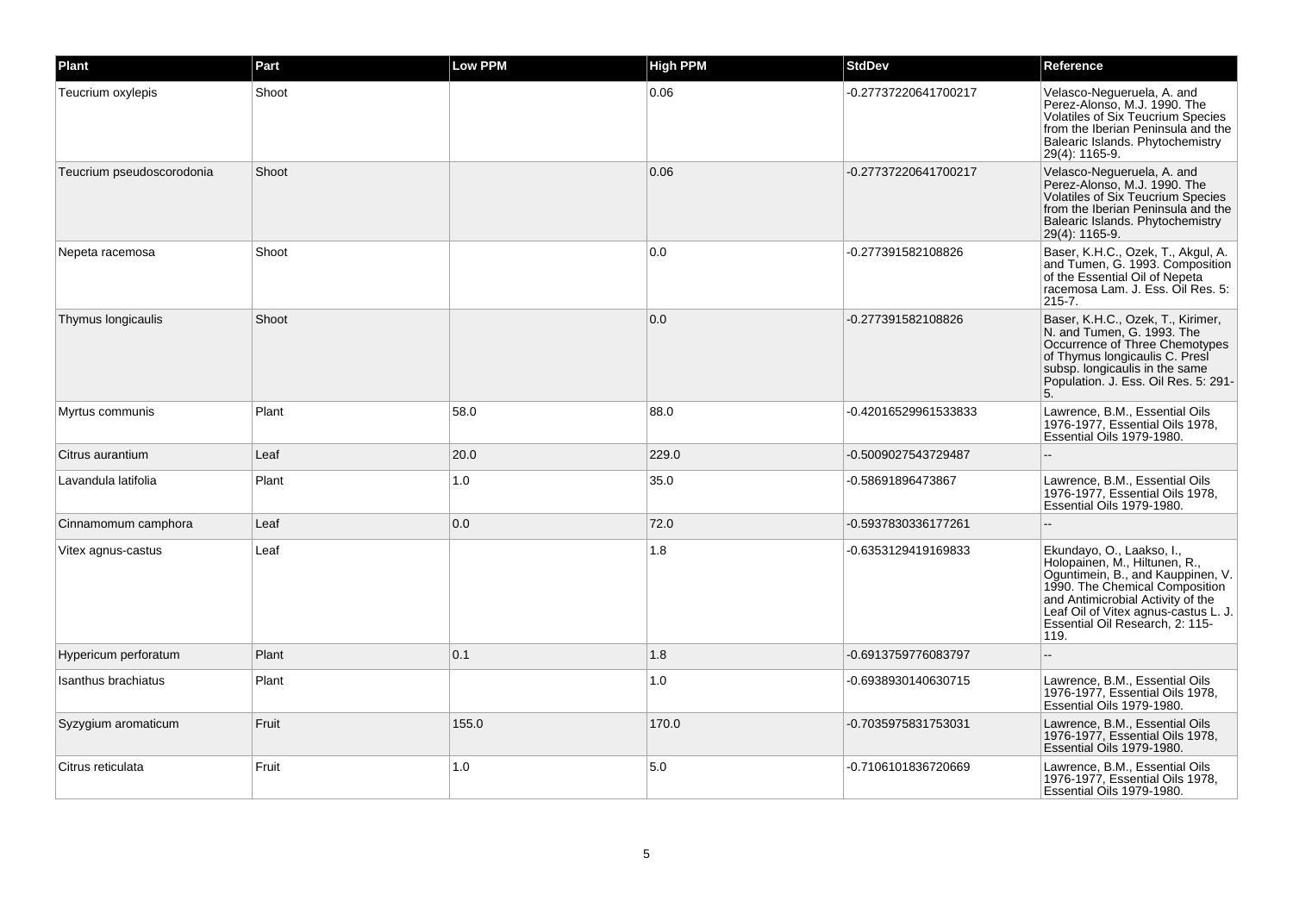| Plant                     | Part  | <b>Low PPM</b> | <b>High PPM</b> | <b>StdDev</b>        | Reference                                                                                                                                                                                                                                                 |
|---------------------------|-------|----------------|-----------------|----------------------|-----------------------------------------------------------------------------------------------------------------------------------------------------------------------------------------------------------------------------------------------------------|
| Teucrium oxylepis         | Shoot |                | 0.06            | -0.27737220641700217 | Velasco-Negueruela, A. and<br>Perez-Alonso, M.J. 1990. The<br>Volatiles of Six Teucrium Species<br>from the Iberian Peninsula and the<br>Balearic Islands. Phytochemistry<br>29(4): 1165-9.                                                               |
| Teucrium pseudoscorodonia | Shoot |                | 0.06            | -0.27737220641700217 | Velasco-Negueruela, A. and<br>Perez-Alonso, M.J. 1990. The<br>Volatiles of Six Teucrium Species<br>from the Iberian Peninsula and the<br>Balearic Islands. Phytochemistry<br>29(4): 1165-9.                                                               |
| Nepeta racemosa           | Shoot |                | 0.0             | -0.277391582108826   | Baser, K.H.C., Ozek, T., Akgul, A.<br>and Tumen, G. 1993. Composition<br>of the Essential Oil of Nepeta<br>racemosa Lam. J. Ess. Oil Res. 5:<br>$215 - 7.$                                                                                                |
| Thymus longicaulis        | Shoot |                | 0.0             | -0.277391582108826   | Baser, K.H.C., Ozek, T., Kirimer,<br>N. and Tumen, G. 1993. The<br>Occurrence of Three Chemotypes<br>of Thymus longicaulis C. Presi<br>subsp. longicaulis in the same<br>Population. J. Ess. Oil Res. 5: 291-<br>5.                                       |
| Myrtus communis           | Plant | 58.0           | 88.0            | -0.42016529961533833 | Lawrence, B.M., Essential Oils<br>1976-1977, Essential Oils 1978,<br>Essential Oils 1979-1980.                                                                                                                                                            |
| Citrus aurantium          | Leaf  | 20.0           | 229.0           | -0.5009027543729487  | $-$                                                                                                                                                                                                                                                       |
| Lavandula latifolia       | Plant | 1.0            | 35.0            | -0.58691896473867    | Lawrence, B.M., Essential Oils<br>1976-1977, Essential Oils 1978,<br>Essential Oils 1979-1980.                                                                                                                                                            |
| Cinnamomum camphora       | Leaf  | 0.0            | 72.0            | -0.5937830336177261  |                                                                                                                                                                                                                                                           |
| Vitex agnus-castus        | Leaf  |                | 1.8             | -0.6353129419169833  | Ekundayo, O., Laakso, I.,<br>Holopainen, M., Hiltunen, R.,<br>Oguntimein, B., and Kauppinen, V.<br>1990. The Chemical Composition<br>and Antimicrobial Activity of the<br>Leaf Oil of Vitex agnus-castus L. J.<br>Essential Oil Research, 2: 115-<br>119. |
| Hypericum perforatum      | Plant | 0.1            | 1.8             | -0.6913759776083797  |                                                                                                                                                                                                                                                           |
| Isanthus brachiatus       | Plant |                | 1.0             | -0.6938930140630715  | Lawrence, B.M., Essential Oils<br>1976-1977, Essential Oils 1978,<br>Essential Oils 1979-1980.                                                                                                                                                            |
| Syzygium aromaticum       | Fruit | 155.0          | 170.0           | -0.7035975831753031  | Lawrence, B.M., Essential Oils<br>1976-1977, Essential Oils 1978,<br>Essential Oils 1979-1980.                                                                                                                                                            |
| Citrus reticulata         | Fruit | 1.0            | 5.0             | -0.7106101836720669  | Lawrence, B.M., Essential Oils<br>1976-1977, Essential Oils 1978,<br>Essential Oils 1979-1980.                                                                                                                                                            |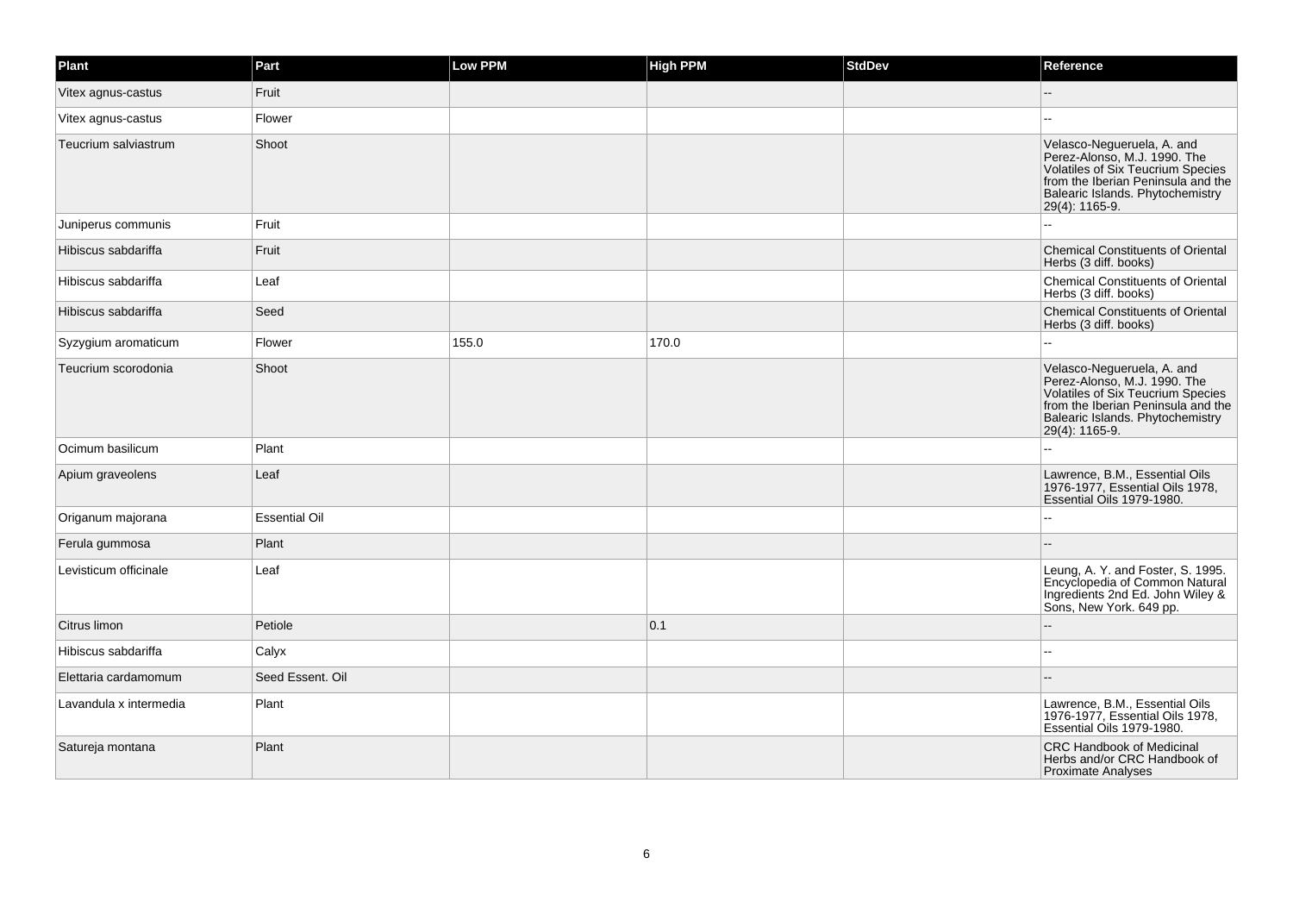| Plant                  | Part                 | <b>Low PPM</b> | <b>High PPM</b> | <b>StdDev</b> | Reference                                                                                                                                                                                   |
|------------------------|----------------------|----------------|-----------------|---------------|---------------------------------------------------------------------------------------------------------------------------------------------------------------------------------------------|
| Vitex agnus-castus     | Fruit                |                |                 |               |                                                                                                                                                                                             |
| Vitex agnus-castus     | Flower               |                |                 |               | $\sim$                                                                                                                                                                                      |
| Teucrium salviastrum   | Shoot                |                |                 |               | Velasco-Negueruela, A. and<br>Perez-Alonso, M.J. 1990. The<br>Volatiles of Six Teucrium Species<br>from the Iberian Peninsula and the<br>Balearic Islands. Phytochemistry<br>29(4): 1165-9. |
| Juniperus communis     | Fruit                |                |                 |               |                                                                                                                                                                                             |
| Hibiscus sabdariffa    | Fruit                |                |                 |               | <b>Chemical Constituents of Oriental</b><br>Herbs (3 diff. books)                                                                                                                           |
| Hibiscus sabdariffa    | Leaf                 |                |                 |               | Chemical Constituents of Oriental<br>Herbs (3 diff. books)                                                                                                                                  |
| Hibiscus sabdariffa    | Seed                 |                |                 |               | <b>Chemical Constituents of Oriental</b><br>Herbs (3 diff. books)                                                                                                                           |
| Syzygium aromaticum    | Flower               | 155.0          | 170.0           |               |                                                                                                                                                                                             |
| Teucrium scorodonia    | Shoot                |                |                 |               | Velasco-Negueruela, A. and<br>Perez-Alonso, M.J. 1990. The<br>Volatiles of Six Teucrium Species<br>from the Iberian Peninsula and the<br>Balearic Islands. Phytochemistry<br>29(4): 1165-9. |
| Ocimum basilicum       | Plant                |                |                 |               |                                                                                                                                                                                             |
| Apium graveolens       | Leaf                 |                |                 |               | Lawrence, B.M., Essential Oils<br>1976-1977, Essential Oils 1978,<br>Essential Oils 1979-1980.                                                                                              |
| Origanum majorana      | <b>Essential Oil</b> |                |                 |               |                                                                                                                                                                                             |
| Ferula gummosa         | Plant                |                |                 |               |                                                                                                                                                                                             |
| Levisticum officinale  | Leaf                 |                |                 |               | Leung, A. Y. and Foster, S. 1995.<br>Encyclopedia of Common Natural<br>Ingredients 2nd Ed. John Wiley &<br>Sons, New York. 649 pp.                                                          |
| Citrus limon           | Petiole              |                | 0.1             |               |                                                                                                                                                                                             |
| Hibiscus sabdariffa    | Calyx                |                |                 |               |                                                                                                                                                                                             |
| Elettaria cardamomum   | Seed Essent. Oil     |                |                 |               |                                                                                                                                                                                             |
| Lavandula x intermedia | Plant                |                |                 |               | Lawrence, B.M., Essential Oils<br>1976-1977, Essential Oils 1978,<br>Essential Oils 1979-1980.                                                                                              |
| Satureja montana       | Plant                |                |                 |               | <b>CRC Handbook of Medicinal</b><br>Herbs and/or CRC Handbook of<br><b>Proximate Analyses</b>                                                                                               |